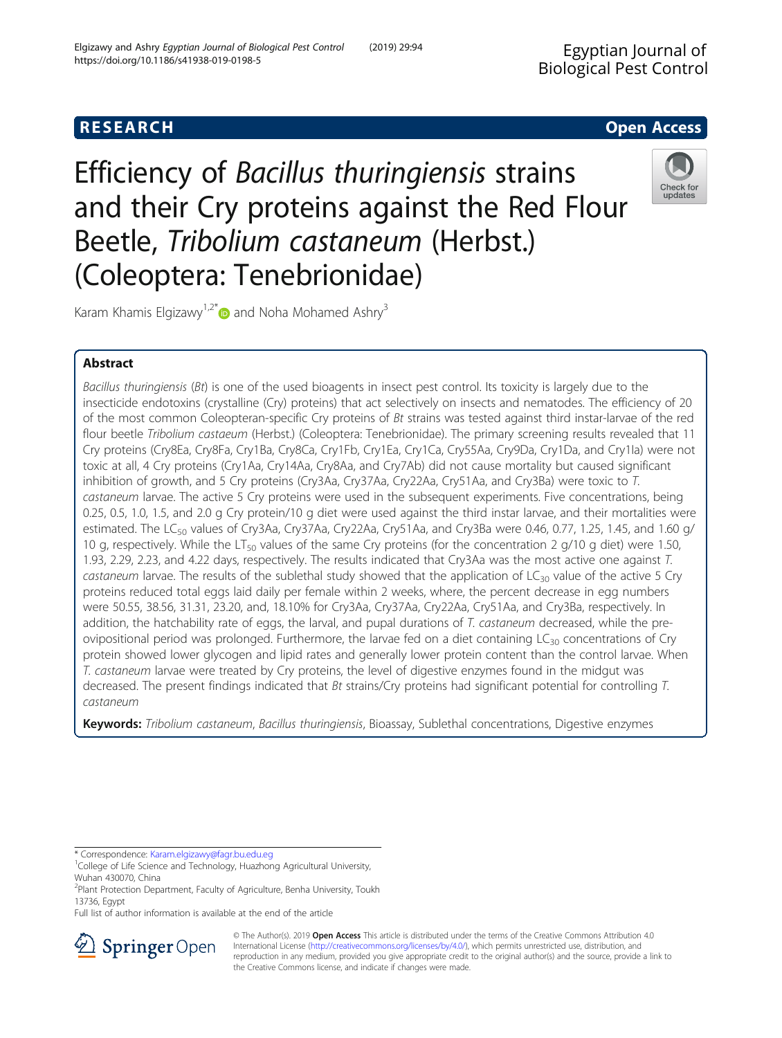# **RESEARCH CHE Open Access**

Efficiency of Bacillus thuringiensis strains and their Cry proteins against the Red Flour Beetle, Tribolium castaneum (Herbst.) (Coleoptera: Tenebrionidae)



Karam Khamis Elgizawy<sup>1,2[\\*](http://orcid.org/0000-0002-0593-6292)</sup> and Noha Mohamed Ashry<sup>3</sup>

## Abstract

Bacillus thuringiensis (Bt) is one of the used bioagents in insect pest control. Its toxicity is largely due to the insecticide endotoxins (crystalline (Cry) proteins) that act selectively on insects and nematodes. The efficiency of 20 of the most common Coleopteran-specific Cry proteins of Bt strains was tested against third instar-larvae of the red flour beetle Tribolium castaeum (Herbst.) (Coleoptera: Tenebrionidae). The primary screening results revealed that 11 Cry proteins (Cry8Ea, Cry8Fa, Cry1Ba, Cry8Ca, Cry1Fb, Cry1Ea, Cry1Ca, Cry55Aa, Cry9Da, Cry1Da, and Cry1Ia) were not toxic at all, 4 Cry proteins (Cry1Aa, Cry14Aa, Cry8Aa, and Cry7Ab) did not cause mortality but caused significant inhibition of growth, and 5 Cry proteins (Cry3Aa, Cry37Aa, Cry22Aa, Cry51Aa, and Cry3Ba) were toxic to T. castaneum larvae. The active 5 Cry proteins were used in the subsequent experiments. Five concentrations, being 0.25, 0.5, 1.0, 1.5, and 2.0 g Cry protein/10 g diet were used against the third instar larvae, and their mortalities were estimated. The LC<sub>50</sub> values of Cry3Aa, Cry37Aa, Cry22Aa, Cry51Aa, and Cry3Ba were 0.46, 0.77, 1.25, 1.45, and 1.60 g/ 10 g, respectively. While the LT<sub>50</sub> values of the same Cry proteins (for the concentration 2 g/10 g diet) were 1.50, 1.93, 2.29, 2.23, and 4.22 days, respectively. The results indicated that Cry3Aa was the most active one against T. castaneum larvae. The results of the sublethal study showed that the application of  $LC_{30}$  value of the active 5 Cry proteins reduced total eggs laid daily per female within 2 weeks, where, the percent decrease in egg numbers were 50.55, 38.56, 31.31, 23.20, and, 18.10% for Cry3Aa, Cry37Aa, Cry22Aa, Cry51Aa, and Cry3Ba, respectively. In addition, the hatchability rate of eggs, the larval, and pupal durations of T. castaneum decreased, while the preovipositional period was prolonged. Furthermore, the larvae fed on a diet containing  $LG_{30}$  concentrations of Cry protein showed lower glycogen and lipid rates and generally lower protein content than the control larvae. When T. castaneum larvae were treated by Cry proteins, the level of digestive enzymes found in the midgut was decreased. The present findings indicated that Bt strains/Cry proteins had significant potential for controlling T. castaneum

Keywords: Tribolium castaneum, Bacillus thuringiensis, Bioassay, Sublethal concentrations, Digestive enzymes

\* Correspondence: [Karam.elgizawy@fagr.bu.edu.eg](mailto:Karam.elgizawy@fagr.bu.edu.eg) <sup>1</sup>

Full list of author information is available at the end of the article



© The Author(s). 2019 Open Access This article is distributed under the terms of the Creative Commons Attribution 4.0 International License ([http://creativecommons.org/licenses/by/4.0/\)](http://creativecommons.org/licenses/by/4.0/), which permits unrestricted use, distribution, and reproduction in any medium, provided you give appropriate credit to the original author(s) and the source, provide a link to the Creative Commons license, and indicate if changes were made.

<sup>&</sup>lt;sup>1</sup>College of Life Science and Technology, Huazhong Agricultural University, Wuhan 430070, China

<sup>&</sup>lt;sup>2</sup>Plant Protection Department, Faculty of Agriculture, Benha University, Toukh 13736, Egypt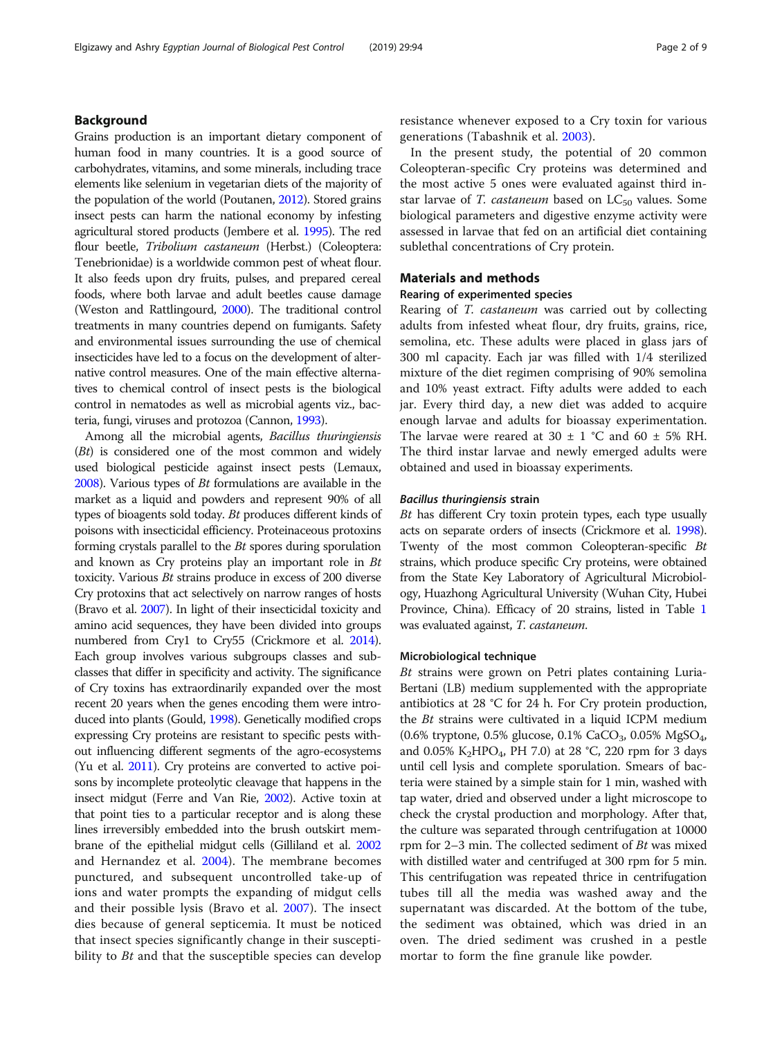## Background

Grains production is an important dietary component of human food in many countries. It is a good source of carbohydrates, vitamins, and some minerals, including trace elements like selenium in vegetarian diets of the majority of the population of the world (Poutanen, [2012](#page-8-0)). Stored grains insect pests can harm the national economy by infesting agricultural stored products (Jembere et al. [1995](#page-7-0)). The red flour beetle, Tribolium castaneum (Herbst.) (Coleoptera: Tenebrionidae) is a worldwide common pest of wheat flour. It also feeds upon dry fruits, pulses, and prepared cereal foods, where both larvae and adult beetles cause damage (Weston and Rattlingourd, [2000](#page-8-0)). The traditional control treatments in many countries depend on fumigants. Safety and environmental issues surrounding the use of chemical insecticides have led to a focus on the development of alternative control measures. One of the main effective alternatives to chemical control of insect pests is the biological control in nematodes as well as microbial agents viz., bacteria, fungi, viruses and protozoa (Cannon, [1993](#page-7-0)).

Among all the microbial agents, Bacillus thuringiensis (Bt) is considered one of the most common and widely used biological pesticide against insect pests (Lemaux, [2008\)](#page-7-0). Various types of Bt formulations are available in the market as a liquid and powders and represent 90% of all types of bioagents sold today. Bt produces different kinds of poisons with insecticidal efficiency. Proteinaceous protoxins forming crystals parallel to the Bt spores during sporulation and known as Cry proteins play an important role in Bt toxicity. Various Bt strains produce in excess of 200 diverse Cry protoxins that act selectively on narrow ranges of hosts (Bravo et al. [2007](#page-7-0)). In light of their insecticidal toxicity and amino acid sequences, they have been divided into groups numbered from Cry1 to Cry55 (Crickmore et al. [2014](#page-7-0)). Each group involves various subgroups classes and subclasses that differ in specificity and activity. The significance of Cry toxins has extraordinarily expanded over the most recent 20 years when the genes encoding them were introduced into plants (Gould, [1998](#page-7-0)). Genetically modified crops expressing Cry proteins are resistant to specific pests without influencing different segments of the agro-ecosystems (Yu et al. [2011\)](#page-8-0). Cry proteins are converted to active poisons by incomplete proteolytic cleavage that happens in the insect midgut (Ferre and Van Rie, [2002](#page-7-0)). Active toxin at that point ties to a particular receptor and is along these lines irreversibly embedded into the brush outskirt membrane of the epithelial midgut cells (Gilliland et al. [2002](#page-7-0) and Hernandez et al. [2004\)](#page-7-0). The membrane becomes punctured, and subsequent uncontrolled take-up of ions and water prompts the expanding of midgut cells and their possible lysis (Bravo et al. [2007\)](#page-7-0). The insect dies because of general septicemia. It must be noticed that insect species significantly change in their susceptibility to  $Bt$  and that the susceptible species can develop resistance whenever exposed to a Cry toxin for various generations (Tabashnik et al. [2003](#page-8-0)).

In the present study, the potential of 20 common Coleopteran-specific Cry proteins was determined and the most active 5 ones were evaluated against third instar larvae of T. castaneum based on  $LC_{50}$  values. Some biological parameters and digestive enzyme activity were assessed in larvae that fed on an artificial diet containing sublethal concentrations of Cry protein.

## Materials and methods

## Rearing of experimented species

Rearing of T. castaneum was carried out by collecting adults from infested wheat flour, dry fruits, grains, rice, semolina, etc. These adults were placed in glass jars of 300 ml capacity. Each jar was filled with 1/4 sterilized mixture of the diet regimen comprising of 90% semolina and 10% yeast extract. Fifty adults were added to each jar. Every third day, a new diet was added to acquire enough larvae and adults for bioassay experimentation. The larvae were reared at 30  $\pm$  1 °C and 60  $\pm$  5% RH. The third instar larvae and newly emerged adults were obtained and used in bioassay experiments.

## Bacillus thuringiensis strain

Bt has different Cry toxin protein types, each type usually acts on separate orders of insects (Crickmore et al. [1998](#page-7-0)). Twenty of the most common Coleopteran-specific Bt strains, which produce specific Cry proteins, were obtained from the State Key Laboratory of Agricultural Microbiology, Huazhong Agricultural University (Wuhan City, Hubei Province, China). Efficacy of 20 strains, listed in Table [1](#page-2-0) was evaluated against, T. castaneum.

## Microbiological technique

Bt strains were grown on Petri plates containing Luria-Bertani (LB) medium supplemented with the appropriate antibiotics at 28 °C for 24 h. For Cry protein production, the Bt strains were cultivated in a liquid ICPM medium (0.6% tryptone, 0.5% glucose, 0.1% CaCO<sub>3</sub>, 0.05% MgSO<sub>4</sub>, and 0.05% K<sub>2</sub>HPO<sub>4</sub>, PH 7.0) at 28 °C, 220 rpm for 3 days until cell lysis and complete sporulation. Smears of bacteria were stained by a simple stain for 1 min, washed with tap water, dried and observed under a light microscope to check the crystal production and morphology. After that, the culture was separated through centrifugation at 10000 rpm for  $2-3$  min. The collected sediment of Bt was mixed with distilled water and centrifuged at 300 rpm for 5 min. This centrifugation was repeated thrice in centrifugation tubes till all the media was washed away and the supernatant was discarded. At the bottom of the tube, the sediment was obtained, which was dried in an oven. The dried sediment was crushed in a pestle mortar to form the fine granule like powder.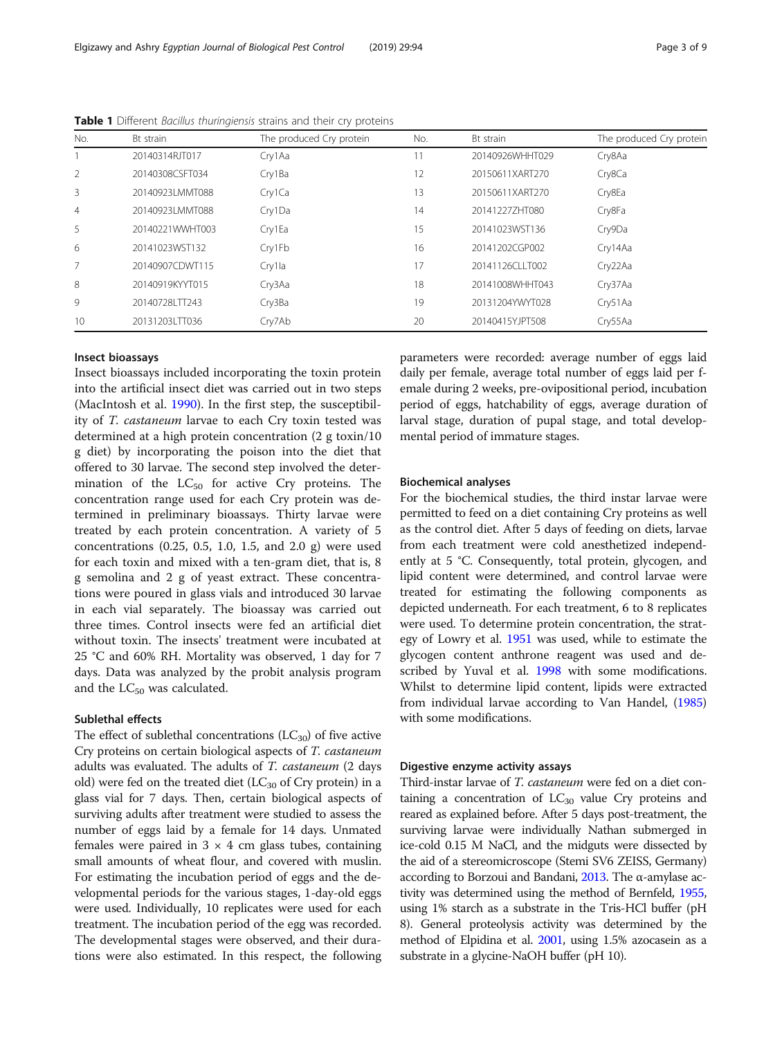| No.            | Bt strain       | The produced Cry protein | No. | Bt strain       | The produced Cry protein |
|----------------|-----------------|--------------------------|-----|-----------------|--------------------------|
|                | 20140314RJT017  | Cry1Aa                   | 11  | 20140926WHHT029 | Cry8Aa                   |
| $\overline{2}$ | 20140308CSFT034 | Cry1Ba                   | 12  | 20150611XART270 | Cry8Ca                   |
| 3              | 20140923LMMT088 | Cry1Ca                   | 13  | 20150611XART270 | Cry8Ea                   |
| $\overline{4}$ | 20140923LMMT088 | Cry1Da                   | 14  | 201412277HT080  | Cry8Fa                   |
| 5              | 20140221WWHT003 | Cry1Ea                   | 15  | 20141023WST136  | Cry9Da                   |
| 6              | 20141023WST132  | Cry1Fb                   | 16  | 20141202CGP002  | Cry14Aa                  |
| 7              | 20140907CDWT115 | Cry1la                   | 17  | 20141126CLLT002 | Cry22Aa                  |
| 8              | 20140919KYYT015 | Cry3Aa                   | 18  | 20141008WHHT043 | Cry37Aa                  |
| 9              | 20140728LTT243  | Cry3Ba                   | 19  | 20131204YWYT028 | Cry51Aa                  |
| 10             | 20131203LTT036  | Cry7Ab                   | 20  | 20140415YJPT508 | Cry55Aa                  |

<span id="page-2-0"></span>Table 1 Different Bacillus thuringiensis strains and their cry proteins

## Insect bioassays

Insect bioassays included incorporating the toxin protein into the artificial insect diet was carried out in two steps (MacIntosh et al. [1990\)](#page-7-0). In the first step, the susceptibility of T. castaneum larvae to each Cry toxin tested was determined at a high protein concentration (2 g toxin/10 g diet) by incorporating the poison into the diet that offered to 30 larvae. The second step involved the determination of the  $LC_{50}$  for active Cry proteins. The concentration range used for each Cry protein was determined in preliminary bioassays. Thirty larvae were treated by each protein concentration. A variety of 5 concentrations (0.25, 0.5, 1.0, 1.5, and 2.0 g) were used for each toxin and mixed with a ten-gram diet, that is, 8 g semolina and 2 g of yeast extract. These concentrations were poured in glass vials and introduced 30 larvae in each vial separately. The bioassay was carried out three times. Control insects were fed an artificial diet without toxin. The insects' treatment were incubated at 25 °C and 60% RH. Mortality was observed, 1 day for 7 days. Data was analyzed by the probit analysis program and the  $LC_{50}$  was calculated.

#### Sublethal effects

The effect of sublethal concentrations  $(LC_{30})$  of five active Cry proteins on certain biological aspects of T. castaneum adults was evaluated. The adults of T. castaneum (2 days old) were fed on the treated diet ( $LC_{30}$  of Cry protein) in a glass vial for 7 days. Then, certain biological aspects of surviving adults after treatment were studied to assess the number of eggs laid by a female for 14 days. Unmated females were paired in  $3 \times 4$  cm glass tubes, containing small amounts of wheat flour, and covered with muslin. For estimating the incubation period of eggs and the developmental periods for the various stages, 1-day-old eggs were used. Individually, 10 replicates were used for each treatment. The incubation period of the egg was recorded. The developmental stages were observed, and their durations were also estimated. In this respect, the following parameters were recorded: average number of eggs laid daily per female, average total number of eggs laid per female during 2 weeks, pre-ovipositional period, incubation period of eggs, hatchability of eggs, average duration of larval stage, duration of pupal stage, and total developmental period of immature stages.

## Biochemical analyses

For the biochemical studies, the third instar larvae were permitted to feed on a diet containing Cry proteins as well as the control diet. After 5 days of feeding on diets, larvae from each treatment were cold anesthetized independently at 5 °C. Consequently, total protein, glycogen, and lipid content were determined, and control larvae were treated for estimating the following components as depicted underneath. For each treatment, 6 to 8 replicates were used. To determine protein concentration, the strategy of Lowry et al. [1951](#page-7-0) was used, while to estimate the glycogen content anthrone reagent was used and described by Yuval et al. [1998](#page-8-0) with some modifications. Whilst to determine lipid content, lipids were extracted from individual larvae according to Van Handel, [\(1985](#page-8-0)) with some modifications.

## Digestive enzyme activity assays

Third-instar larvae of T. castaneum were fed on a diet containing a concentration of  $LC_{30}$  value Cry proteins and reared as explained before. After 5 days post-treatment, the surviving larvae were individually Nathan submerged in ice-cold 0.15 M NaCl, and the midguts were dissected by the aid of a stereomicroscope (Stemi SV6 ZEISS, Germany) according to Borzoui and Bandani, [2013.](#page-7-0) The α-amylase activity was determined using the method of Bernfeld, [1955](#page-7-0), using 1% starch as a substrate in the Tris-HCl buffer (pH 8). General proteolysis activity was determined by the method of Elpidina et al. [2001,](#page-7-0) using 1.5% azocasein as a substrate in a glycine-NaOH buffer (pH 10).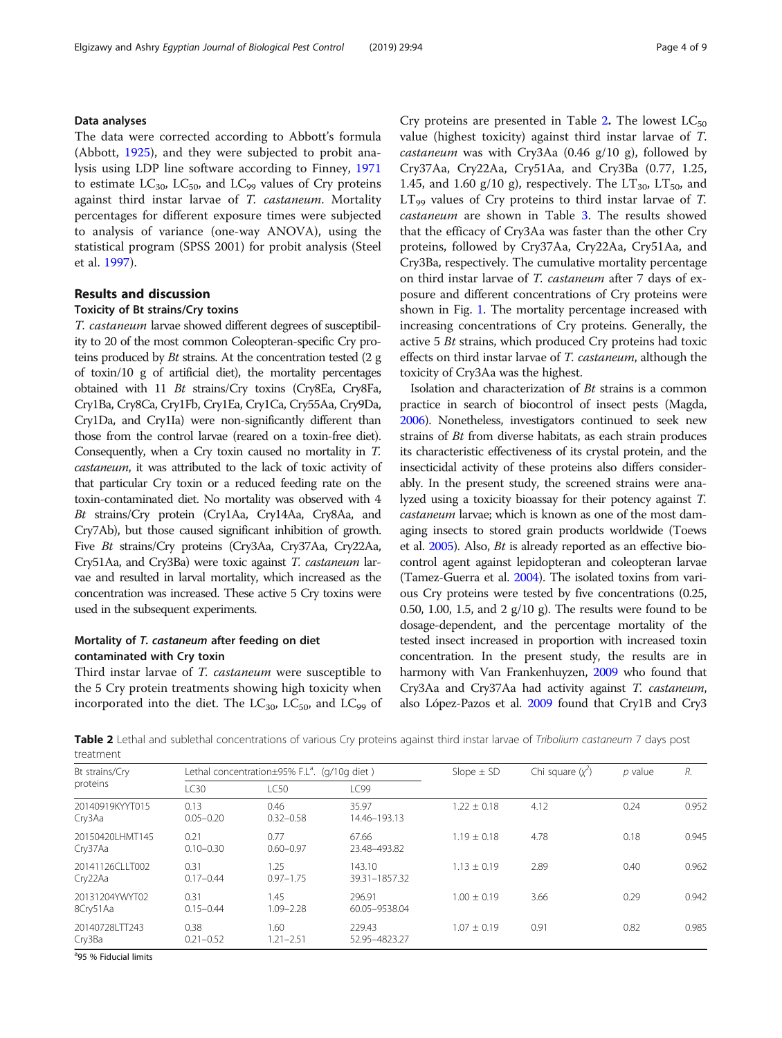## Data analyses

The data were corrected according to Abbott's formula (Abbott, [1925\)](#page-7-0), and they were subjected to probit analysis using LDP line software according to Finney, [1971](#page-7-0) to estimate  $LC_{30}$ ,  $LC_{50}$ , and  $LC_{99}$  values of Cry proteins against third instar larvae of T. castaneum. Mortality percentages for different exposure times were subjected to analysis of variance (one-way ANOVA), using the statistical program (SPSS 2001) for probit analysis (Steel et al. [1997\)](#page-8-0).

## Results and discussion

## Toxicity of Bt strains/Cry toxins

T. castaneum larvae showed different degrees of susceptibility to 20 of the most common Coleopteran-specific Cry proteins produced by Bt strains. At the concentration tested (2 g of toxin/10 g of artificial diet), the mortality percentages obtained with 11 Bt strains/Cry toxins (Cry8Ea, Cry8Fa, Cry1Ba, Cry8Ca, Cry1Fb, Cry1Ea, Cry1Ca, Cry55Aa, Cry9Da, Cry1Da, and Cry1Ia) were non-significantly different than those from the control larvae (reared on a toxin-free diet). Consequently, when a Cry toxin caused no mortality in T. castaneum, it was attributed to the lack of toxic activity of that particular Cry toxin or a reduced feeding rate on the toxin-contaminated diet. No mortality was observed with 4 Bt strains/Cry protein (Cry1Aa, Cry14Aa, Cry8Aa, and Cry7Ab), but those caused significant inhibition of growth. Five Bt strains/Cry proteins (Cry3Aa, Cry37Aa, Cry22Aa, Cry51Aa, and Cry3Ba) were toxic against T. castaneum larvae and resulted in larval mortality, which increased as the concentration was increased. These active 5 Cry toxins were used in the subsequent experiments.

## Mortality of T. castaneum after feeding on diet contaminated with Cry toxin

Third instar larvae of T. castaneum were susceptible to the 5 Cry protein treatments showing high toxicity when incorporated into the diet. The  $LC_{30}$ ,  $LC_{50}$ , and  $LC_{99}$  of Cry proteins are presented in Table 2. The lowest  $LC_{50}$ value (highest toxicity) against third instar larvae of T. castaneum was with Cry3Aa  $(0.46 \text{ g}/10 \text{ g})$ , followed by Cry37Aa, Cry22Aa, Cry51Aa, and Cry3Ba (0.77, 1.25, 1.45, and 1.60 g/10 g), respectively. The  $LT_{30}$ ,  $LT_{50}$ , and  $LT_{99}$  values of Cry proteins to third instar larvae of T. castaneum are shown in Table [3](#page-4-0). The results showed that the efficacy of Cry3Aa was faster than the other Cry proteins, followed by Cry37Aa, Cry22Aa, Cry51Aa, and Cry3Ba, respectively. The cumulative mortality percentage on third instar larvae of T. castaneum after 7 days of exposure and different concentrations of Cry proteins were shown in Fig. [1](#page-4-0). The mortality percentage increased with increasing concentrations of Cry proteins. Generally, the active 5 Bt strains, which produced Cry proteins had toxic effects on third instar larvae of T. castaneum, although the toxicity of Cry3Aa was the highest.

Isolation and characterization of Bt strains is a common practice in search of biocontrol of insect pests (Magda, [2006\)](#page-7-0). Nonetheless, investigators continued to seek new strains of Bt from diverse habitats, as each strain produces its characteristic effectiveness of its crystal protein, and the insecticidal activity of these proteins also differs considerably. In the present study, the screened strains were analyzed using a toxicity bioassay for their potency against T. castaneum larvae; which is known as one of the most damaging insects to stored grain products worldwide (Toews et al. [2005\)](#page-8-0). Also, Bt is already reported as an effective biocontrol agent against lepidopteran and coleopteran larvae (Tamez-Guerra et al. [2004](#page-8-0)). The isolated toxins from various Cry proteins were tested by five concentrations (0.25, 0.50, 1.00, 1.5, and 2 g/10 g). The results were found to be dosage-dependent, and the percentage mortality of the tested insect increased in proportion with increased toxin concentration. In the present study, the results are in harmony with Van Frankenhuyzen, [2009](#page-8-0) who found that Cry3Aa and Cry37Aa had activity against T. castaneum, also López-Pazos et al. [2009](#page-7-0) found that Cry1B and Cry3

Table 2 Lethal and sublethal concentrations of various Cry proteins against third instar larvae of Tribolium castaneum 7 days post treatment

| Bt strains/Cry             |                       | Lethal concentration $\pm$ 95% F.L <sup>a</sup> . (g/10g diet) |                         | Slope $\pm$ SD  | Chi square $(y2)$ | $p$ value | R.    |
|----------------------------|-----------------------|----------------------------------------------------------------|-------------------------|-----------------|-------------------|-----------|-------|
| proteins                   | LC30                  | <b>LC50</b>                                                    | LC99                    |                 |                   |           |       |
| 20140919KYYT015<br>Cry3Aa  | 0.13<br>$0.05 - 0.20$ | 0.46<br>$0.32 - 0.58$                                          | 35.97<br>14.46-193.13   | $1.22 \pm 0.18$ | 4.12              | 0.24      | 0.952 |
| 20150420LHMT145<br>Cry37Aa | 0.21<br>$0.10 - 0.30$ | 0.77<br>$0.60 - 0.97$                                          | 67.66<br>23.48-493.82   | $1.19 \pm 0.18$ | 4.78              | 0.18      | 0.945 |
| 20141126CLLT002<br>Cry22Aa | 0.31<br>$0.17 - 0.44$ | 1.25<br>$0.97 - 1.75$                                          | 143.10<br>39.31-1857.32 | $1.13 \pm 0.19$ | 2.89              | 0.40      | 0.962 |
| 20131204YWYT02<br>8Cry51Aa | 0.31<br>$0.15 - 0.44$ | 1.45<br>$1.09 - 2.28$                                          | 296.91<br>60.05-9538.04 | $1.00 + 0.19$   | 3.66              | 0.29      | 0.942 |
| 20140728 TT243<br>Cry3Ba   | 0.38<br>$0.21 - 0.52$ | 1.60<br>$1.21 - 2.51$                                          | 229.43<br>52.95-4823.27 | $1.07 + 0.19$   | 0.91              | 0.82      | 0.985 |

<sup>a</sup>95 % Fiducial limits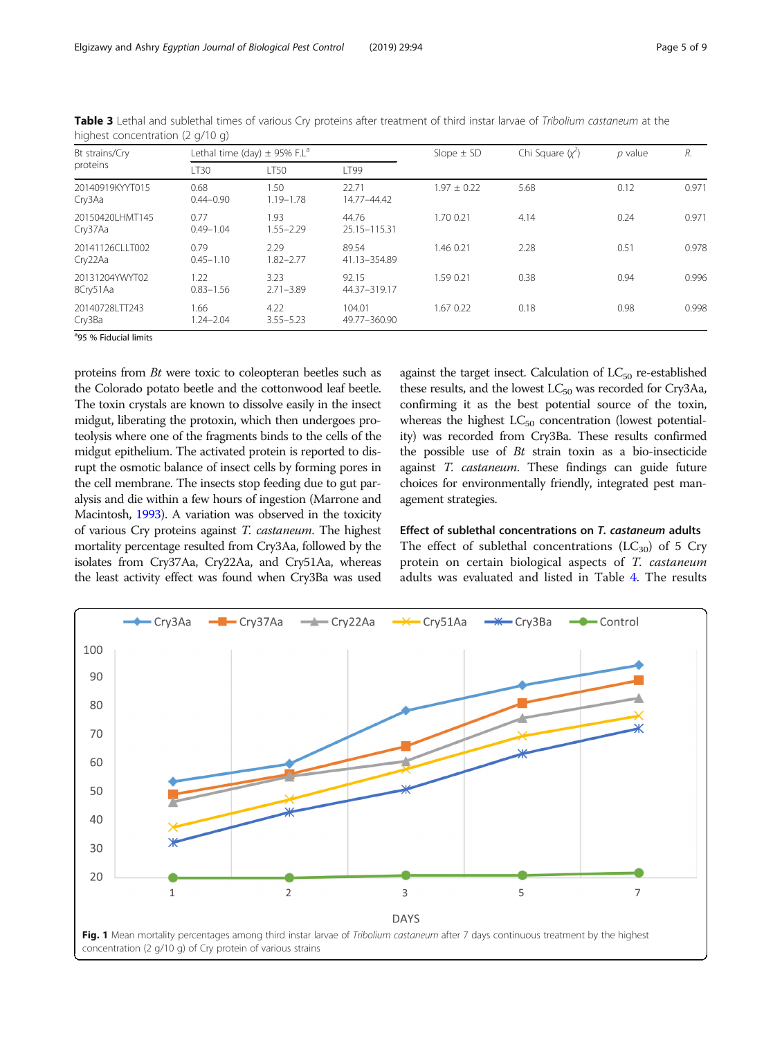| Lethal time (day) $\pm$ 95% F.L <sup>a</sup> |                       |                        | Slope $\pm$ SD  | Chi Square $(y2)$ | $p$ value | R.    |
|----------------------------------------------|-----------------------|------------------------|-----------------|-------------------|-----------|-------|
| LT30                                         | <b>LT50</b>           | LT99                   |                 |                   |           |       |
| 0.68<br>$0.44 - 0.90$                        | 1.50<br>$1.19 - 1.78$ | 22.71<br>14.77-44.42   | $1.97 \pm 0.22$ | 5.68              | 0.12      | 0.971 |
| 0.77<br>$0.49 - 1.04$                        | 1.93<br>$1.55 - 2.29$ | 44.76<br>25.15-115.31  | 1.70 0.21       | 4.14              | 0.24      | 0.971 |
| 0.79<br>$0.45 - 1.10$                        | 2.29<br>$1.82 - 2.77$ | 89.54<br>41.13-354.89  | 1.46 0.21       | 2.28              | 0.51      | 0.978 |
| 1.22<br>$0.83 - 1.56$                        | 3.23<br>$2.71 - 3.89$ | 92.15<br>44.37-319.17  | 1.59 0.21       | 0.38              | 0.94      | 0.996 |
| 1.66<br>$1.24 - 2.04$                        | 4.22<br>$3.55 - 5.23$ | 104.01<br>49.77-360.90 | 1.67 0.22       | 0.18              | 0.98      | 0.998 |
|                                              |                       |                        |                 |                   |           |       |

<span id="page-4-0"></span>Table 3 Lethal and sublethal times of various Cry proteins after treatment of third instar larvae of Tribolium castaneum at the highest concentration (2 g/10 g)

<sup>a</sup>95 % Fiducial limits

proteins from Bt were toxic to coleopteran beetles such as the Colorado potato beetle and the cottonwood leaf beetle. The toxin crystals are known to dissolve easily in the insect midgut, liberating the protoxin, which then undergoes proteolysis where one of the fragments binds to the cells of the midgut epithelium. The activated protein is reported to disrupt the osmotic balance of insect cells by forming pores in the cell membrane. The insects stop feeding due to gut paralysis and die within a few hours of ingestion (Marrone and Macintosh, [1993\)](#page-7-0). A variation was observed in the toxicity of various Cry proteins against T. castaneum. The highest mortality percentage resulted from Cry3Aa, followed by the isolates from Cry37Aa, Cry22Aa, and Cry51Aa, whereas the least activity effect was found when Cry3Ba was used against the target insect. Calculation of  $LC_{50}$  re-established these results, and the lowest  $LC_{50}$  was recorded for Cry3Aa, confirming it as the best potential source of the toxin, whereas the highest  $LC_{50}$  concentration (lowest potentiality) was recorded from Cry3Ba. These results confirmed the possible use of  $Bt$  strain toxin as a bio-insecticide against T. castaneum. These findings can guide future choices for environmentally friendly, integrated pest management strategies.

## Effect of sublethal concentrations on T. castaneum adults

The effect of sublethal concentrations  $(LC_{30})$  of 5 Cry protein on certain biological aspects of T. castaneum adults was evaluated and listed in Table [4.](#page-5-0) The results

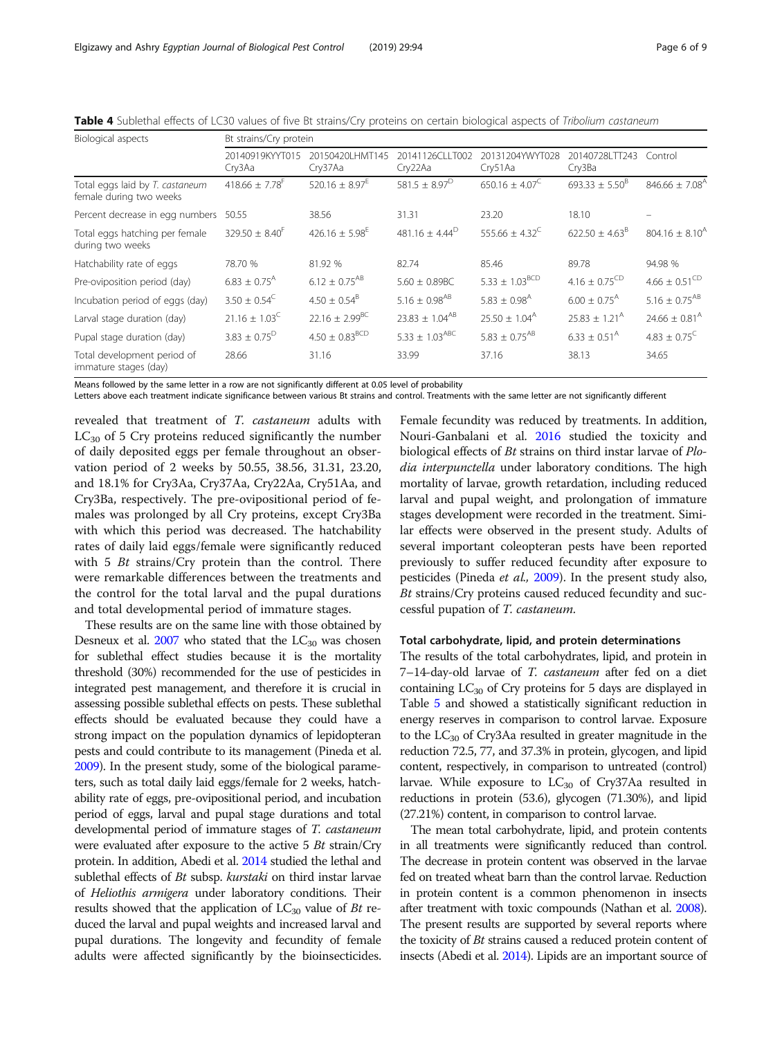<span id="page-5-0"></span>

| Table 4 Sublethal effects of LC30 values of five Bt strains/Cry proteins on certain biological aspects of Tribolium castaneum |  |  |  |
|-------------------------------------------------------------------------------------------------------------------------------|--|--|--|
|-------------------------------------------------------------------------------------------------------------------------------|--|--|--|

| Biological aspects                                         | Bt strains/Cry protein       |                                |                                |                              |                                  |                               |  |  |
|------------------------------------------------------------|------------------------------|--------------------------------|--------------------------------|------------------------------|----------------------------------|-------------------------------|--|--|
|                                                            | 20140919KYYT015<br>Cry3Aa    | 20150420LHMT145<br>Cry37Aa     | 20141126CLLT002<br>Cry22Aa     | 20131204YWYT028<br>Cry51Aa   | 20140728LTT243 Control<br>Cry3Ba |                               |  |  |
| Total eggs laid by T. castaneum<br>female during two weeks | $418.66 + 7.78$ <sup>+</sup> | 520.16 $\pm$ 8.97 <sup>E</sup> | $581.5 \pm 8.97^{\circ}$       | $650.16 \pm 4.07^C$          | $693.33 \pm 5.50^8$              | $846.66 \pm 7.08^{\text{A}}$  |  |  |
| Percent decrease in egg numbers                            | 50.55                        | 38.56                          | 31.31                          | 23.20                        | 18.10                            |                               |  |  |
| Total eggs hatching per female<br>during two weeks         | $329.50 \pm 8.40^+$          | $426.16 \pm 5.98^{\text{h}}$   | $481.16 \pm 4.44^D$            | 555.66 ± 4.32 <sup>C</sup>   | $622.50 + 4.63^{\circ}$          | $804.16 \pm 8.10^4$           |  |  |
| Hatchability rate of eggs                                  | 78.70 %                      | 81.92 %                        | 82.74                          | 85.46                        | 89.78                            | 94.98 %                       |  |  |
| Pre-oviposition period (day)                               | $6.83 \pm 0.75$ <sup>A</sup> | $6.12 \pm 0.75$ <sup>AB</sup>  | $5.60 + 0.89BC$                | $5.33 \pm 1.03^{BCD}$        | $4.16 \pm 0.75^{\text{CD}}$      | $4.66 \pm 0.51^{\text{CD}}$   |  |  |
| Incubation period of eggs (day)                            | $3.50 \pm 0.54^{\circ}$      | $4.50 \pm 0.54^8$              | $5.16 \pm 0.98^{AB}$           | $5.83 \pm 0.98$ <sup>A</sup> | $6.00 \pm 0.75$ <sup>A</sup>     | 5.16 $\pm$ 0.75 <sup>AB</sup> |  |  |
| Larval stage duration (day)                                | $21.16 \pm 1.03^{\circ}$     | $22.16 \pm 2.99^{BC}$          | $23.83 \pm 1.04^{AB}$          | $25.50 \pm 1.04^{\text{A}}$  | $25.83 \pm 1.21^{\text{A}}$      | $24.66 \pm 0.81^{\text{A}}$   |  |  |
| Pupal stage duration (day)                                 | $3.83 \pm 0.75^D$            | $4.50 \pm 0.83^{\text{BCD}}$   | $5.33 \pm 1.03$ <sup>ABC</sup> | $5.83 \pm 0.75^{AB}$         | $6.33 + 0.51A$                   | $4.83 + 0.75^{\circ}$         |  |  |
| Total development period of<br>immature stages (day)       | 28.66                        | 31.16                          | 33.99                          | 37.16                        | 38.13                            | 34.65                         |  |  |

Means followed by the same letter in a row are not significantly different at 0.05 level of probability

Letters above each treatment indicate significance between various Bt strains and control. Treatments with the same letter are not significantly different

revealed that treatment of T. castaneum adults with  $LC_{30}$  of 5 Cry proteins reduced significantly the number of daily deposited eggs per female throughout an observation period of 2 weeks by 50.55, 38.56, 31.31, 23.20, and 18.1% for Cry3Aa, Cry37Aa, Cry22Aa, Cry51Aa, and Cry3Ba, respectively. The pre-ovipositional period of females was prolonged by all Cry proteins, except Cry3Ba with which this period was decreased. The hatchability rates of daily laid eggs/female were significantly reduced with 5  $Bt$  strains/Cry protein than the control. There were remarkable differences between the treatments and the control for the total larval and the pupal durations and total developmental period of immature stages.

These results are on the same line with those obtained by Desneux et al.  $2007$  who stated that the  $LC_{30}$  was chosen for sublethal effect studies because it is the mortality threshold (30%) recommended for the use of pesticides in integrated pest management, and therefore it is crucial in assessing possible sublethal effects on pests. These sublethal effects should be evaluated because they could have a strong impact on the population dynamics of lepidopteran pests and could contribute to its management (Pineda et al. [2009\)](#page-7-0). In the present study, some of the biological parameters, such as total daily laid eggs/female for 2 weeks, hatchability rate of eggs, pre-ovipositional period, and incubation period of eggs, larval and pupal stage durations and total developmental period of immature stages of T. castaneum were evaluated after exposure to the active 5 Bt strain/Cry protein. In addition, Abedi et al. [2014](#page-7-0) studied the lethal and sublethal effects of Bt subsp. kurstaki on third instar larvae of Heliothis armigera under laboratory conditions. Their results showed that the application of  $LC_{30}$  value of Bt reduced the larval and pupal weights and increased larval and pupal durations. The longevity and fecundity of female adults were affected significantly by the bioinsecticides.

Female fecundity was reduced by treatments. In addition, Nouri-Ganbalani et al. [2016](#page-7-0) studied the toxicity and biological effects of Bt strains on third instar larvae of Plodia interpunctella under laboratory conditions. The high mortality of larvae, growth retardation, including reduced larval and pupal weight, and prolongation of immature stages development were recorded in the treatment. Similar effects were observed in the present study. Adults of several important coleopteran pests have been reported previously to suffer reduced fecundity after exposure to pesticides (Pineda et al., [2009\)](#page-7-0). In the present study also, Bt strains/Cry proteins caused reduced fecundity and successful pupation of T. castaneum.

## Total carbohydrate, lipid, and protein determinations

The results of the total carbohydrates, lipid, and protein in 7-14-day-old larvae of T. castaneum after fed on a diet containing  $LC_{30}$  of Cry proteins for 5 days are displayed in Table [5](#page-6-0) and showed a statistically significant reduction in energy reserves in comparison to control larvae. Exposure to the  $LC_{30}$  of Cry3Aa resulted in greater magnitude in the reduction 72.5, 77, and 37.3% in protein, glycogen, and lipid content, respectively, in comparison to untreated (control) larvae. While exposure to  $LC_{30}$  of Cry37Aa resulted in reductions in protein (53.6), glycogen (71.30%), and lipid (27.21%) content, in comparison to control larvae.

The mean total carbohydrate, lipid, and protein contents in all treatments were significantly reduced than control. The decrease in protein content was observed in the larvae fed on treated wheat barn than the control larvae. Reduction in protein content is a common phenomenon in insects after treatment with toxic compounds (Nathan et al. [2008](#page-7-0)). The present results are supported by several reports where the toxicity of *Bt* strains caused a reduced protein content of insects (Abedi et al. [2014](#page-7-0)). Lipids are an important source of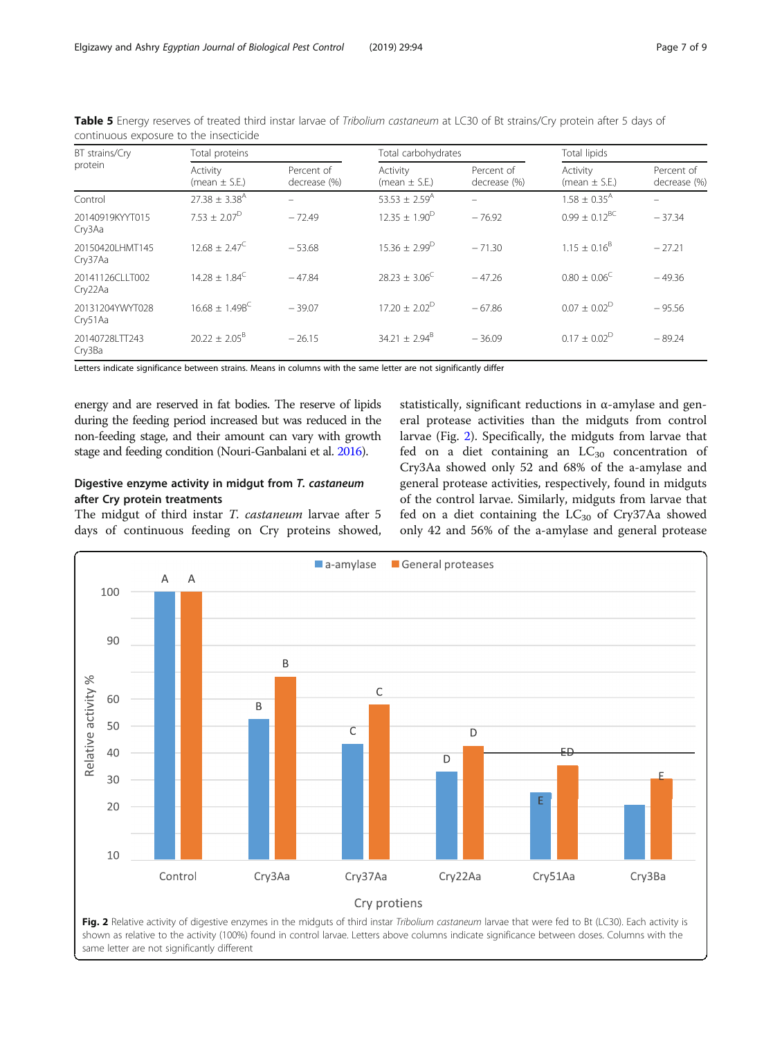| BT strains/Cry             | Total proteins                |                            | Total carbohydrates           |                            | Total lipids                  |                            |  |
|----------------------------|-------------------------------|----------------------------|-------------------------------|----------------------------|-------------------------------|----------------------------|--|
| protein                    | Activity<br>(mean $\pm$ S.E.) | Percent of<br>decrease (%) | Activity<br>(mean $\pm$ S.E.) | Percent of<br>decrease (%) | Activity<br>(mean $\pm$ S.E.) | Percent of<br>decrease (%) |  |
| Control                    | $27.38 \pm 3.38$ <sup>A</sup> |                            | 53.53 $\pm$ 2.59 <sup>A</sup> |                            | $1.58 \pm 0.35$ <sup>A</sup>  |                            |  |
| 20140919KYYT015<br>Cry3Aa  | $7.53 \pm 2.07^{\circ}$       | $-72.49$                   | $12.35 \pm 1.90^{\circ}$      | $-76.92$                   | $0.99 + 0.12$ <sup>BC</sup>   | $-37.34$                   |  |
| 20150420LHMT145<br>Cry37Aa | $12.68 + 2.47^C$              | $-53.68$                   | $15.36 + 2.99^D$              | $-71.30$                   | $1.15 \pm 0.16^8$             | $-27.21$                   |  |
| 20141126CLLT002<br>Cry22Aa | $14.28 + 1.84^C$              | $-47.84$                   | $28.23 + 3.06^{\circ}$        | $-47.26$                   | $0.80 \pm 0.06^{\circ}$       | $-49.36$                   |  |
| 20131204YWYT028<br>Cry51Aa | $16.68 + 1.49B^{C}$           | $-39.07$                   | $17.20 + 2.02^D$              | $-67.86$                   | $0.07 \pm 0.02^D$             | $-95.56$                   |  |
| 20140728LTT243<br>Cry3Ba   | $20.22 \pm 2.05^8$            | $-26.15$                   | $34.21 \pm 2.94^8$            | $-36.09$                   | $0.17 \pm 0.02^D$             | $-89.24$                   |  |

<span id="page-6-0"></span>Table 5 Energy reserves of treated third instar larvae of Tribolium castaneum at LC30 of Bt strains/Cry protein after 5 days of continuous exposure to the insecticide

Letters indicate significance between strains. Means in columns with the same letter are not significantly differ

energy and are reserved in fat bodies. The reserve of lipids during the feeding period increased but was reduced in the non-feeding stage, and their amount can vary with growth stage and feeding condition (Nouri-Ganbalani et al. [2016\)](#page-7-0).

## Digestive enzyme activity in midgut from T. castaneum after Cry protein treatments

The midgut of third instar T. castaneum larvae after 5 days of continuous feeding on Cry proteins showed,

statistically, significant reductions in  $\alpha$ -amylase and general protease activities than the midguts from control larvae (Fig. 2). Specifically, the midguts from larvae that fed on a diet containing an  $LC_{30}$  concentration of Cry3Aa showed only 52 and 68% of the a-amylase and general protease activities, respectively, found in midguts of the control larvae. Similarly, midguts from larvae that fed on a diet containing the  $LC_{30}$  of Cry37Aa showed only 42 and 56% of the a-amylase and general protease

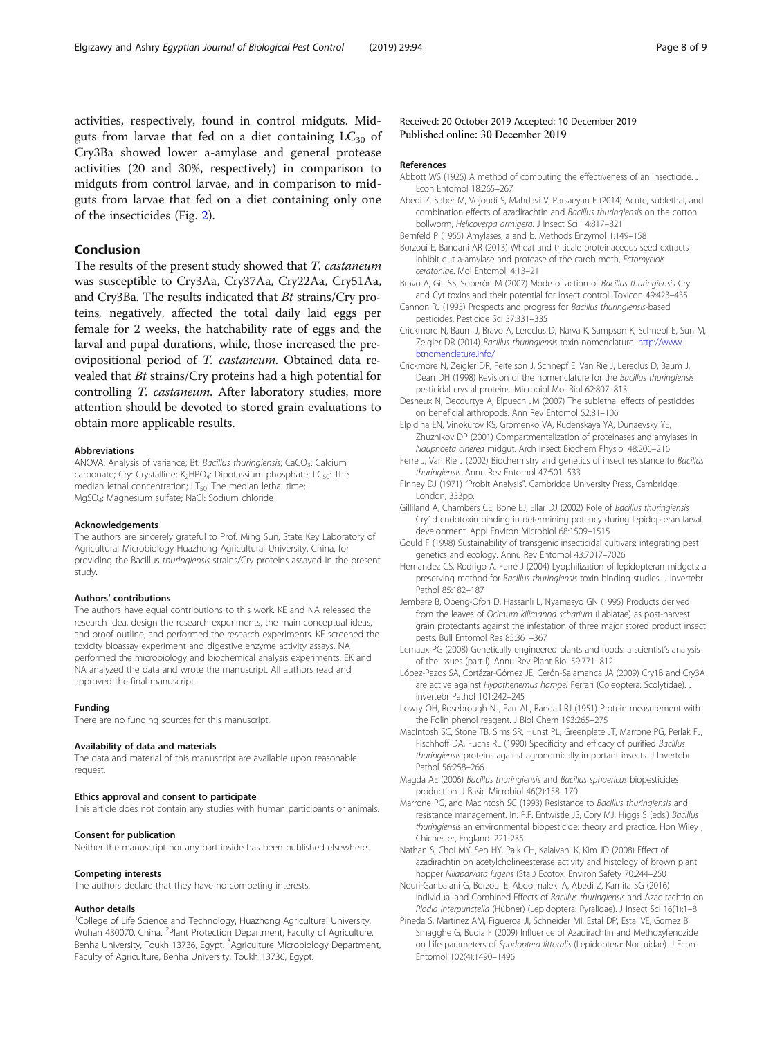<span id="page-7-0"></span>activities, respectively, found in control midguts. Midguts from larvae that fed on a diet containing  $LC_{30}$  of Cry3Ba showed lower a-amylase and general protease activities (20 and 30%, respectively) in comparison to midguts from control larvae, and in comparison to midguts from larvae that fed on a diet containing only one of the insecticides (Fig. [2\)](#page-6-0).

## Conclusion

The results of the present study showed that T. castaneum was susceptible to Cry3Aa, Cry37Aa, Cry22Aa, Cry51Aa, and Cry3Ba. The results indicated that Bt strains/Cry proteins, negatively, affected the total daily laid eggs per female for 2 weeks, the hatchability rate of eggs and the larval and pupal durations, while, those increased the preovipositional period of T. castaneum. Obtained data revealed that Bt strains/Cry proteins had a high potential for controlling T. castaneum. After laboratory studies, more attention should be devoted to stored grain evaluations to obtain more applicable results.

#### Abbreviations

ANOVA: Analysis of variance; Bt: Bacillus thuringiensis; CaCO<sub>3</sub>: Calcium carbonate; Cry: Crystalline; K<sub>2</sub>HPO<sub>4</sub>: Dipotassium phosphate; LC<sub>50</sub>: The median lethal concentration;  $LT_{50}$ : The median lethal time; MgSO4: Magnesium sulfate; NaCl: Sodium chloride

#### Acknowledgements

The authors are sincerely grateful to Prof. Ming Sun, State Key Laboratory of Agricultural Microbiology Huazhong Agricultural University, China, for providing the Bacillus thuringiensis strains/Cry proteins assayed in the present study.

#### Authors' contributions

The authors have equal contributions to this work. KE and NA released the research idea, design the research experiments, the main conceptual ideas, and proof outline, and performed the research experiments. KE screened the toxicity bioassay experiment and digestive enzyme activity assays. NA performed the microbiology and biochemical analysis experiments. EK and NA analyzed the data and wrote the manuscript. All authors read and approved the final manuscript.

#### Funding

There are no funding sources for this manuscript.

#### Availability of data and materials

The data and material of this manuscript are available upon reasonable request.

#### Ethics approval and consent to participate

This article does not contain any studies with human participants or animals.

#### Consent for publication

Neither the manuscript nor any part inside has been published elsewhere.

#### Competing interests

The authors declare that they have no competing interests.

## Author details

<sup>1</sup>College of Life Science and Technology, Huazhong Agricultural University, Wuhan 430070, China. <sup>2</sup>Plant Protection Department, Faculty of Agriculture, Benha University, Toukh 13736, Egypt. <sup>3</sup>Agriculture Microbiology Department, Faculty of Agriculture, Benha University, Toukh 13736, Egypt.

## Received: 20 October 2019 Accepted: 10 December 2019 Published online: 30 December 2019

#### References

- Abbott WS (1925) A method of computing the effectiveness of an insecticide. J Econ Entomol 18:265–267
- Abedi Z, Saber M, Vojoudi S, Mahdavi V, Parsaeyan E (2014) Acute, sublethal, and combination effects of azadirachtin and Bacillus thuringiensis on the cotton bollworm, Helicoverpa armigera. J Insect Sci 14:817–821
- Bernfeld P (1955) Amylases, a and b. Methods Enzymol 1:149–158
- Borzoui E, Bandani AR (2013) Wheat and triticale proteinaceous seed extracts inhibit gut a-amylase and protease of the carob moth, Ectomyelois ceratoniae. Mol Entomol. 4:13–21
- Bravo A, Gill SS, Soberón M (2007) Mode of action of Bacillus thuringiensis Cry and Cyt toxins and their potential for insect control. Toxicon 49:423–435
- Cannon RJ (1993) Prospects and progress for Bacillus thuringiensis-based pesticides. Pesticide Sci 37:331–335
- Crickmore N, Baum J, Bravo A, Lereclus D, Narva K, Sampson K, Schnepf E, Sun M, Zeigler DR (2014) Bacillus thuringiensis toxin nomenclature. [http://www.](http://www.btnomenclature.info/) [btnomenclature.info/](http://www.btnomenclature.info/)
- Crickmore N, Zeigler DR, Feitelson J, Schnepf E, Van Rie J, Lereclus D, Baum J, Dean DH (1998) Revision of the nomenclature for the Bacillus thuringiensis pesticidal crystal proteins. Microbiol Mol Biol 62:807–813
- Desneux N, Decourtye A, Elpuech JM (2007) The sublethal effects of pesticides on beneficial arthropods. Ann Rev Entomol 52:81–106
- Elpidina EN, Vinokurov KS, Gromenko VA, Rudenskaya YA, Dunaevsky YE, Zhuzhikov DP (2001) Compartmentalization of proteinases and amylases in Nauphoeta cinerea midgut. Arch Insect Biochem Physiol 48:206–216
- Ferre J, Van Rie J (2002) Biochemistry and genetics of insect resistance to Bacillus thuringiensis. Annu Rev Entomol 47:501–533
- Finney DJ (1971) "Probit Analysis". Cambridge University Press, Cambridge, London, 333pp.
- Gilliland A, Chambers CE, Bone EJ, Ellar DJ (2002) Role of Bacillus thuringiensis Cry1d endotoxin binding in determining potency during lepidopteran larval development. Appl Environ Microbiol 68:1509–1515
- Gould F (1998) Sustainability of transgenic insecticidal cultivars: integrating pest genetics and ecology. Annu Rev Entomol 43:7017–7026
- Hernandez CS, Rodrigo A, Ferré J (2004) Lyophilization of lepidopteran midgets: a preserving method for Bacillus thuringiensis toxin binding studies. J Invertebr Pathol 85:182–187
- Jembere B, Obeng-Ofori D, Hassanli L, Nyamasyo GN (1995) Products derived from the leaves of Ocimum kilimannd scharium (Labiatae) as post-harvest grain protectants against the infestation of three major stored product insect pests. Bull Entomol Res 85:361–367
- Lemaux PG (2008) Genetically engineered plants and foods: a scientist's analysis of the issues (part I). Annu Rev Plant Biol 59:771–812
- López-Pazos SA, Cortázar-Gómez JE, Cerón-Salamanca JA (2009) Cry1B and Cry3A are active against Hypothenemus hampei Ferrari (Coleoptera: Scolytidae). J Invertebr Pathol 101:242–245
- Lowry OH, Rosebrough NJ, Farr AL, Randall RJ (1951) Protein measurement with the Folin phenol reagent. J Biol Chem 193:265–275
- MacIntosh SC, Stone TB, Sims SR, Hunst PL, Greenplate JT, Marrone PG, Perlak FJ, Fischhoff DA, Fuchs RL (1990) Specificity and efficacy of purified Bacillus thuringiensis proteins against agronomically important insects. J Invertebr Pathol 56:258–266
- Magda AE (2006) Bacillus thuringiensis and Bacillus sphaericus biopesticides production. J Basic Microbiol 46(2):158–170
- Marrone PG, and Macintosh SC (1993) Resistance to Bacillus thuringiensis and resistance management. In: P.F. Entwistle JS, Cory MJ, Higgs S (eds.) Bacillus thuringiensis an environmental biopesticide: theory and practice. Hon Wiley , Chichester, England. 221-235.
- Nathan S, Choi MY, Seo HY, Paik CH, Kalaivani K, Kim JD (2008) Effect of azadirachtin on acetylcholineesterase activity and histology of brown plant hopper Nilaparvata lugens (Stal.) Ecotox. Environ Safety 70:244–250
- Nouri-Ganbalani G, Borzoui E, Abdolmaleki A, Abedi Z, Kamita SG (2016) Individual and Combined Effects of Bacillus thuringiensis and Azadirachtin on Plodia Interpunctella (Hübner) (Lepidoptera: Pyralidae). J Insect Sci 16(1):1–8
- Pineda S, Martinez AM, Figueroa JI, Schneider MI, Estal DP, Estal VE, Gomez B, Smagghe G, Budia F (2009) Influence of Azadirachtin and Methoxyfenozide on Life parameters of Spodoptera littoralis (Lepidoptera: Noctuidae). J Econ Entomol 102(4):1490–1496